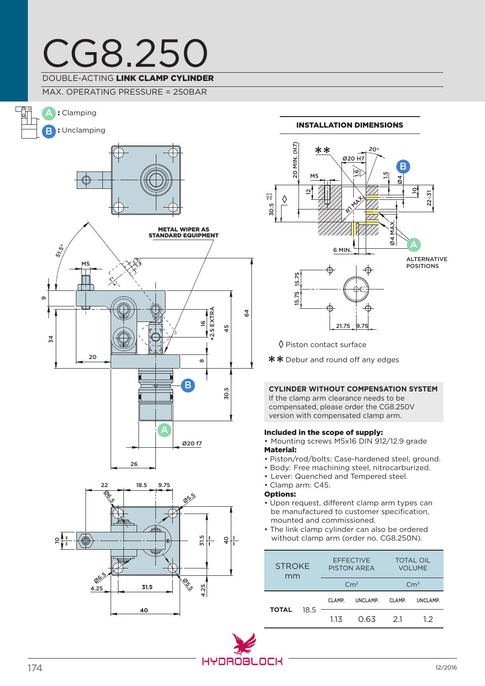# CG8.250 DOUBLE-ACTING LINK CLAMP CYLINDER

MAX. OPERATING PRESSURE = 250BAR





### Installation dimensions



◊ Piston contact surface

\*\* Debur and round off any edges

### **CYLINDER WITHOUT COMPENSATION SYSTEM**

If the clamp arm clearance needs to be compensated, please order the CG8.250V version with compensated clamp arm.

### Included in the scope of supply:

• Mounting screws M5x16 DIN 912/12.9 grade Material:

- Piston/rod/bolts: Case-hardened steel, ground.
- Body: Free machining steel, nitrocarburized.
- Lever: Quenched and Tempered steel.
- Clamp arm: C45.

### Options:

- Upon request, different clamp arm types can be manufactured to customer specification, mounted and commissioned.
- The link clamp cylinder can also be ordered without clamp arm (order no. CG8.250N).

| <b>STROKE</b><br>mm |      | <b>EFFECTIVE</b><br><b>PISTON AREA</b> |          | <b>TOTAL OIL</b><br><b>VOLUME</b> |          |
|---------------------|------|----------------------------------------|----------|-----------------------------------|----------|
|                     |      | $\rm cm^2$                             |          | Cm <sup>3</sup>                   |          |
| <b>TOTAL</b>        | 18.5 | CLAMP.                                 | UNCLAMP. | CLAMP.                            | UNCLAMP. |
|                     |      | 113                                    | 0.63     | 21                                | 12       |